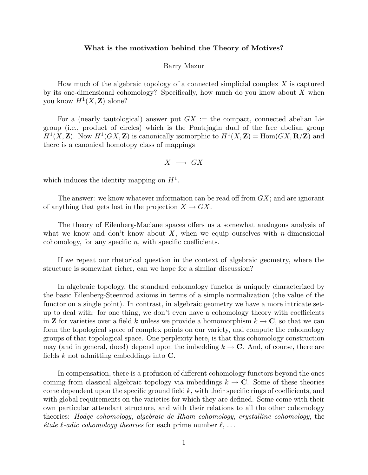## What is the motivation behind the Theory of Motives?

## Barry Mazur

How much of the algebraic topology of a connected simplicial complex  $X$  is captured by its one-dimensional cohomology? Specifically, how much do you know about  $X$  when you know  $H^1(X, \mathbf{Z})$  alone?

For a (nearly tautological) answer put  $GX :=$  the compact, connected abelian Lie group (i.e., product of circles) which is the Pontrjagin dual of the free abelian group  $H^1(X, \mathbf{Z})$ . Now  $H^1(GX, \mathbf{Z})$  is canonically isomorphic to  $H^1(X, \mathbf{Z}) = \text{Hom}(GX, \mathbf{R}/\mathbf{Z})$  and there is a canonical homotopy class of mappings

$$
X\;\longrightarrow\;GX
$$

which induces the identity mapping on  $H<sup>1</sup>$ .

The answer: we know whatever information can be read off from  $GX$ ; and are ignorant of anything that gets lost in the projection  $X \to GX$ .

The theory of Eilenberg-Maclane spaces offers us a somewhat analogous analysis of what we know and don't know about X, when we equip ourselves with n-dimensional cohomology, for any specific  $n$ , with specific coefficients.

If we repeat our rhetorical question in the context of algebraic geometry, where the structure is somewhat richer, can we hope for a similar discussion?

In algebraic topology, the standard cohomology functor is uniquely characterized by the basic Eilenberg-Steenrod axioms in terms of a simple normalization (the value of the functor on a single point). In contrast, in algebraic geometry we have a more intricate setup to deal with: for one thing, we don't even have a cohomology theory with coefficients in **Z** for varieties over a field k unless we provide a homomorphism  $k \to \mathbb{C}$ , so that we can form the topological space of complex points on our variety, and compute the cohomology groups of that topological space. One perplexity here, is that this cohomology construction may (and in general, does!) depend upon the imbedding  $k \to \mathbb{C}$ . And, of course, there are fields  $k$  not admitting embeddings into  $C$ .

In compensation, there is a profusion of different cohomology functors beyond the ones coming from classical algebraic topology via imbeddings  $k \to \mathbb{C}$ . Some of these theories come dependent upon the specific ground field  $k$ , with their specific rings of coefficients, and with global requirements on the varieties for which they are defined. Some come with their own particular attendant structure, and with their relations to all the other cohomology theories: Hodge cohomology, algebraic de Rham cohomology, crystalline cohomology, the *étale*  $\ell$ *-adic cohomology theories* for each prime number  $\ell, \ldots$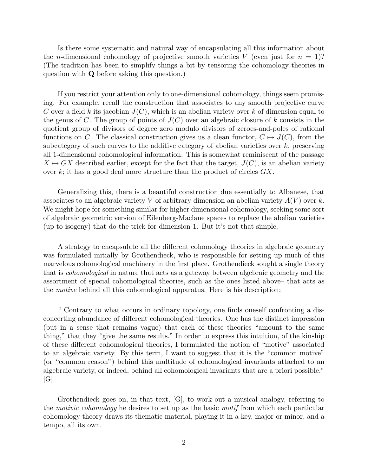Is there some systematic and natural way of encapsulating all this information about the *n*-dimensional cohomology of projective smooth varieties V (even just for  $n = 1$ )? (The tradition has been to simplify things a bit by tensoring the cohomology theories in question with Q before asking this question.)

If you restrict your attention only to one-dimensional cohomology, things seem promising. For example, recall the construction that associates to any smooth projective curve C over a field k its jacobian  $J(C)$ , which is an abelian variety over k of dimension equal to the genus of C. The group of points of  $J(C)$  over an algebraic closure of k consists in the quotient group of divisors of degree zero modulo divisors of zeroes-and-poles of rational functions on C. The classical construction gives us a clean functor,  $C \mapsto J(C)$ , from the subcategory of such curves to the additive category of abelian varieties over  $k$ , preserving all 1-dimensional cohomological information. This is somewhat reminiscent of the passage  $X \mapsto GX$  described earlier, except for the fact that the target,  $J(C)$ , is an abelian variety over  $k$ ; it has a good deal more structure than the product of circles  $GX$ .

Generalizing this, there is a beautiful construction due essentially to Albanese, that associates to an algebraic variety V of arbitrary dimension an abelian variety  $A(V)$  over k. We might hope for something similar for higher dimensional cohomology, seeking some sort of algebraic geometric version of Eilenberg-Maclane spaces to replace the abelian varieties (up to isogeny) that do the trick for dimension 1. But it's not that simple.

A strategy to encapsulate all the different cohomology theories in algebraic geometry was formulated initially by Grothendieck, who is responsible for setting up much of this marvelous cohomological machinery in the first place. Grothendieck sought a single theory that is cohomological in nature that acts as a gateway between algebraic geometry and the assortment of special cohomological theories, such as the ones listed above– that acts as the motive behind all this cohomological apparatus. Here is his description:

" Contrary to what occurs in ordinary topology, one finds oneself confronting a disconcerting abundance of different cohomological theories. One has the distinct impression (but in a sense that remains vague) that each of these theories "amount to the same thing," that they "give the same results." In order to express this intuition, of the kinship of these different cohomological theories, I formulated the notion of "motive" associated to an algebraic variety. By this term, I want to suggest that it is the "common motive" (or "common reason") behind this multitude of cohomological invariants attached to an algebraic variety, or indeed, behind all cohomological invariants that are a priori possible."  $[G]$ 

Grothendieck goes on, in that text, [G], to work out a musical analogy, referring to the motivic cohomology he desires to set up as the basic motif from which each particular cohomology theory draws its thematic material, playing it in a key, major or minor, and a tempo, all its own.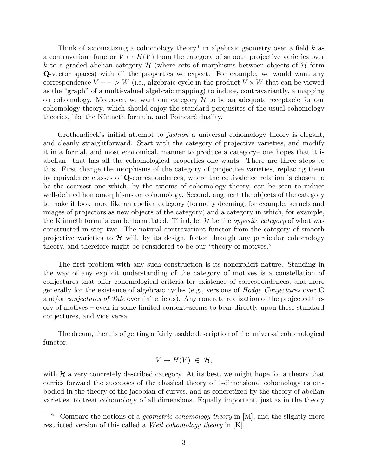Think of axiomatizing a cohomology theory<sup>\*</sup> in algebraic geometry over a field  $k$  as a contravariant functor  $V \mapsto H(V)$  from the category of smooth projective varieties over k to a graded abelian category  $\mathcal H$  (where sets of morphisms between objects of  $\mathcal H$  form Q-vector spaces) with all the properties we expect. For example, we would want any correspondence  $V - \rightarrow W$  (i.e., algebraic cycle in the product  $V \times W$  that can be viewed as the "graph" of a multi-valued algebraic mapping) to induce, contravariantly, a mapping on cohomology. Moreover, we want our category  $H$  to be an adequate receptacle for our cohomology theory, which should enjoy the standard perquisites of the usual cohomology theories, like the Künneth formula, and Poincaré duality.

Grothendieck's initial attempt to *fashion* a universal cohomology theory is elegant, and cleanly straightforward. Start with the category of projective varieties, and modify it in a formal, and most economical, manner to produce a category– one hopes that it is abelian– that has all the cohomological properties one wants. There are three steps to this. First change the morphisms of the category of projective varieties, replacing them by equivalence classes of Q-correspondences, where the equivalence relation is chosen to be the coarsest one which, by the axioms of cohomology theory, can be seen to induce well-defined homomorphisms on cohomology. Second, augment the objects of the category to make it look more like an abelian category (formally deeming, for example, kernels and images of projectors as new objects of the category) and a category in which, for example, the Künneth formula can be formulated. Third, let  $H$  be the *opposite category* of what was constructed in step two. The natural contravariant functor from the category of smooth projective varieties to  $\mathcal H$  will, by its design, factor through any particular cohomology theory, and therefore might be considered to be our "theory of motives."

The first problem with any such construction is its nonexplicit nature. Standing in the way of any explicit understanding of the category of motives is a constellation of conjectures that offer cohomological criteria for existence of correspondences, and more generally for the existence of algebraic cycles (e.g., versions of Hodge Conjectures over C and/or *conjectures of Tate* over finite fields). Any concrete realization of the projected theory of motives – even in some limited context–seems to bear directly upon these standard conjectures, and vice versa.

The dream, then, is of getting a fairly usable description of the universal cohomological functor,

$$
V \mapsto H(V) \in \mathcal{H},
$$

with  $H$  a very concretely described category. At its best, we might hope for a theory that carries forward the successes of the classical theory of 1-dimensional cohomology as embodied in the theory of the jacobian of curves, and as concretized by the theory of abelian varieties, to treat cohomology of all dimensions. Equally important, just as in the theory

<sup>\*</sup> Compare the notions of a geometric cohomology theory in [M], and the slightly more restricted version of this called a Weil cohomology theory in [K].